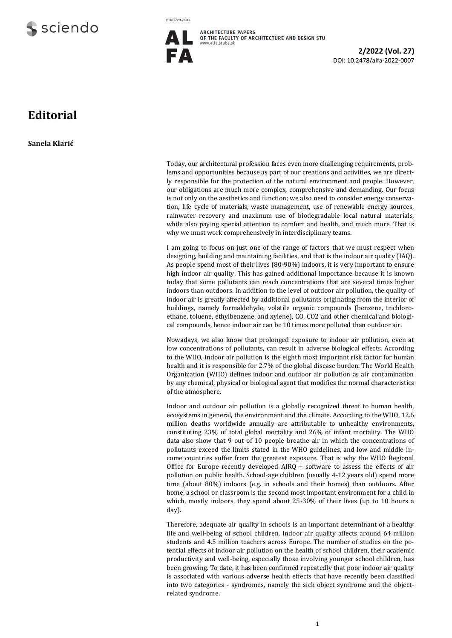

**ISSN 2729-7640** 



**2/2022 (Vol. 27)**  DOI: 10.2478/alfa-2022-0007

## **Editorial**

**Sanela Klarić**

Today, our architectural profession faces even more challenging requirements, problems and opportunities because as part of our creations and activities, we are directly responsible for the protection of the natural environment and people. However, our obligations are much more complex, comprehensive and demanding. Our focus is not only on the aesthetics and function; we also need to consider energy conservation, life cycle of materials, waste management, use of renewable energy sources, rainwater recovery and maximum use of biodegradable local natural materials, while also paying special attention to comfort and health, and much more. That is why we must work comprehensively in interdisciplinary teams.

I am going to focus on just one of the range of factors that we must respect when designing, building and maintaining facilities, and that is the indoor air quality (IAQ). As people spend most of their lives (80-90%) indoors, it is very important to ensure high indoor air quality. This has gained additional importance because it is known today that some pollutants can reach concentrations that are several times higher indoors than outdoors. In addition to the level of outdoor air pollution, the quality of indoor air is greatly affected by additional pollutants originating from the interior of buildings, namely formaldehyde, volatile organic compounds (benzene, trichloroethane, toluene, ethylbenzene, and xylene), CO, CO2 and other chemical and biological compounds, hence indoor air can be 10 times more polluted than outdoor air.

Nowadays, we also know that prolonged exposure to indoor air pollution, even at low concentrations of pollutants, can result in adverse biological effects. According to the WHO, indoor air pollution is the eighth most important risk factor for human health and it is responsible for 2.7% of the global disease burden. The World Health Organization (WHO) defines indoor and outdoor air pollution as air contamination by any chemical, physical or biological agent that modifies the normal characteristics of the atmosphere.

Indoor and outdoor air pollution is a globally recognized threat to human health, ecosystems in general, the environment and the climate. According to the WHO, 12.6 million deaths worldwide annually are attributable to unhealthy environments, constituting 23% of total global mortality and 26% of infant mortality. The WHO data also show that 9 out of 10 people breathe air in which the concentrations of pollutants exceed the limits stated in the WHO guidelines, and low and middle income countries suffer from the greatest exposure. That is why the WHO Regional Office for Europe recently developed AIRQ + software to assess the effects of air pollution on public health. School-age children (usually 4-12 years old) spend more time (about 80%) indoors (e.g. in schools and their homes) than outdoors. After home, a school or classroom is the second most important environment for a child in which, mostly indoors, they spend about 25-30% of their lives (up to 10 hours a day).

Therefore, adequate air quality in schools is an important determinant of a healthy life and well-being of school children. Indoor air quality affects around 64 million students and 4.5 million teachers across Europe. The number of studies on the potential effects of indoor air pollution on the health of school children, their academic productivity and well-being, especially those involving younger school children, has been growing. To date, it has been confirmed repeatedly that poor indoor air quality is associated with various adverse health effects that have recently been classified into two categories - syndromes, namely the sick object syndrome and the objectrelated syndrome.